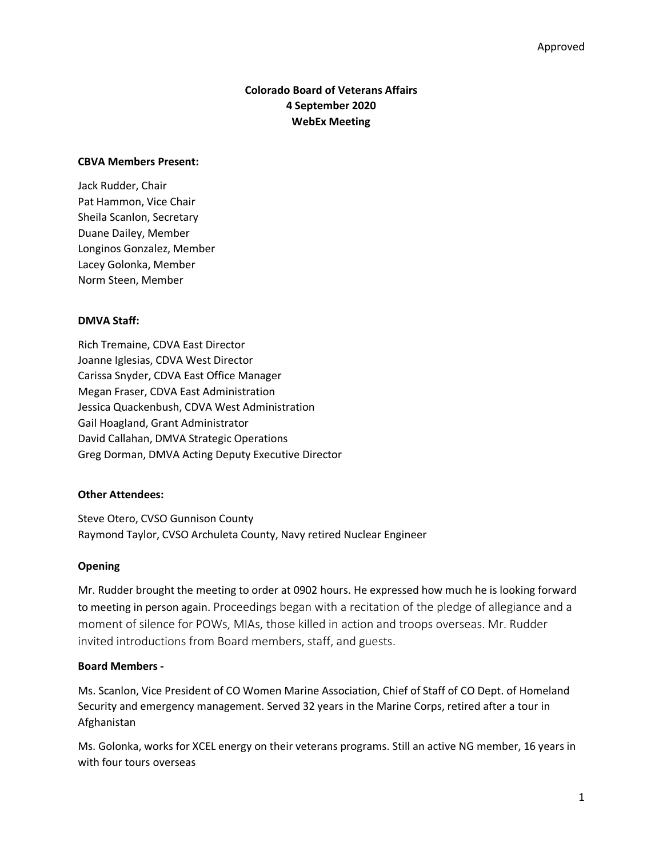# **Colorado Board of Veterans Affairs 4 September 2020 WebEx Meeting**

### **CBVA Members Present:**

Jack Rudder, Chair Pat Hammon, Vice Chair Sheila Scanlon, Secretary Duane Dailey, Member Longinos Gonzalez, Member Lacey Golonka, Member Norm Steen, Member

# **DMVA Staff:**

Rich Tremaine, CDVA East Director Joanne Iglesias, CDVA West Director Carissa Snyder, CDVA East Office Manager Megan Fraser, CDVA East Administration Jessica Quackenbush, CDVA West Administration Gail Hoagland, Grant Administrator David Callahan, DMVA Strategic Operations Greg Dorman, DMVA Acting Deputy Executive Director

# **Other Attendees:**

Steve Otero, CVSO Gunnison County Raymond Taylor, CVSO Archuleta County, Navy retired Nuclear Engineer

### **Opening**

Mr. Rudder brought the meeting to order at 0902 hours. He expressed how much he is looking forward to meeting in person again. Proceedings began with a recitation of the pledge of allegiance and a moment of silence for POWs, MIAs, those killed in action and troops overseas. Mr. Rudder invited introductions from Board members, staff, and guests.

# **Board Members -**

Ms. Scanlon, Vice President of CO Women Marine Association, Chief of Staff of CO Dept. of Homeland Security and emergency management. Served 32 years in the Marine Corps, retired after a tour in Afghanistan

Ms. Golonka, works for XCEL energy on their veterans programs. Still an active NG member, 16 years in with four tours overseas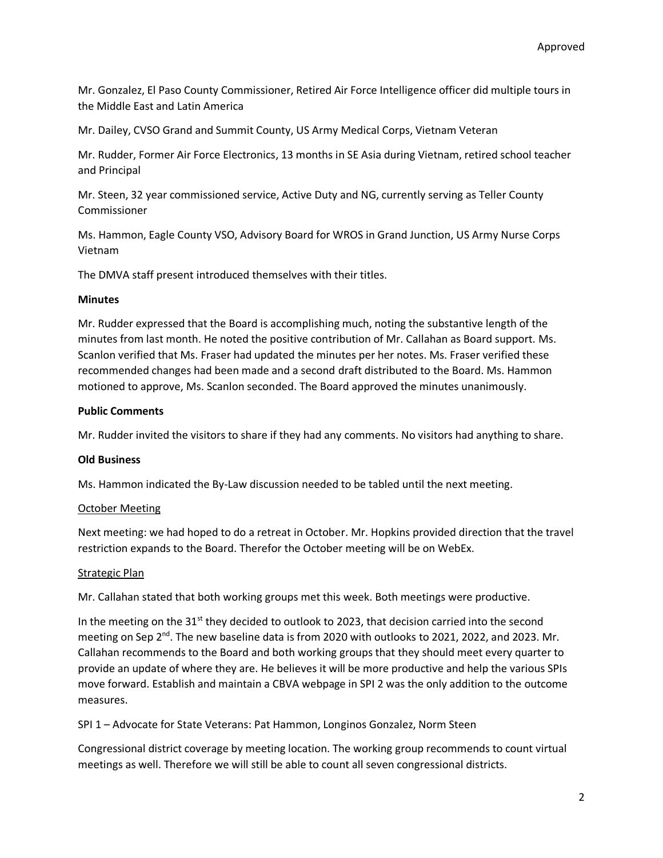Mr. Gonzalez, El Paso County Commissioner, Retired Air Force Intelligence officer did multiple tours in the Middle East and Latin America

Mr. Dailey, CVSO Grand and Summit County, US Army Medical Corps, Vietnam Veteran

Mr. Rudder, Former Air Force Electronics, 13 months in SE Asia during Vietnam, retired school teacher and Principal

Mr. Steen, 32 year commissioned service, Active Duty and NG, currently serving as Teller County Commissioner

Ms. Hammon, Eagle County VSO, Advisory Board for WROS in Grand Junction, US Army Nurse Corps Vietnam

The DMVA staff present introduced themselves with their titles.

### **Minutes**

Mr. Rudder expressed that the Board is accomplishing much, noting the substantive length of the minutes from last month. He noted the positive contribution of Mr. Callahan as Board support. Ms. Scanlon verified that Ms. Fraser had updated the minutes per her notes. Ms. Fraser verified these recommended changes had been made and a second draft distributed to the Board. Ms. Hammon motioned to approve, Ms. Scanlon seconded. The Board approved the minutes unanimously.

### **Public Comments**

Mr. Rudder invited the visitors to share if they had any comments. No visitors had anything to share.

### **Old Business**

Ms. Hammon indicated the By-Law discussion needed to be tabled until the next meeting.

# October Meeting

Next meeting: we had hoped to do a retreat in October. Mr. Hopkins provided direction that the travel restriction expands to the Board. Therefor the October meeting will be on WebEx.

### Strategic Plan

Mr. Callahan stated that both working groups met this week. Both meetings were productive.

In the meeting on the 31<sup>st</sup> they decided to outlook to 2023, that decision carried into the second meeting on Sep 2<sup>nd</sup>. The new baseline data is from 2020 with outlooks to 2021, 2022, and 2023. Mr. Callahan recommends to the Board and both working groups that they should meet every quarter to provide an update of where they are. He believes it will be more productive and help the various SPIs move forward. Establish and maintain a CBVA webpage in SPI 2 was the only addition to the outcome measures.

SPI 1 – Advocate for State Veterans: Pat Hammon, Longinos Gonzalez, Norm Steen

Congressional district coverage by meeting location. The working group recommends to count virtual meetings as well. Therefore we will still be able to count all seven congressional districts.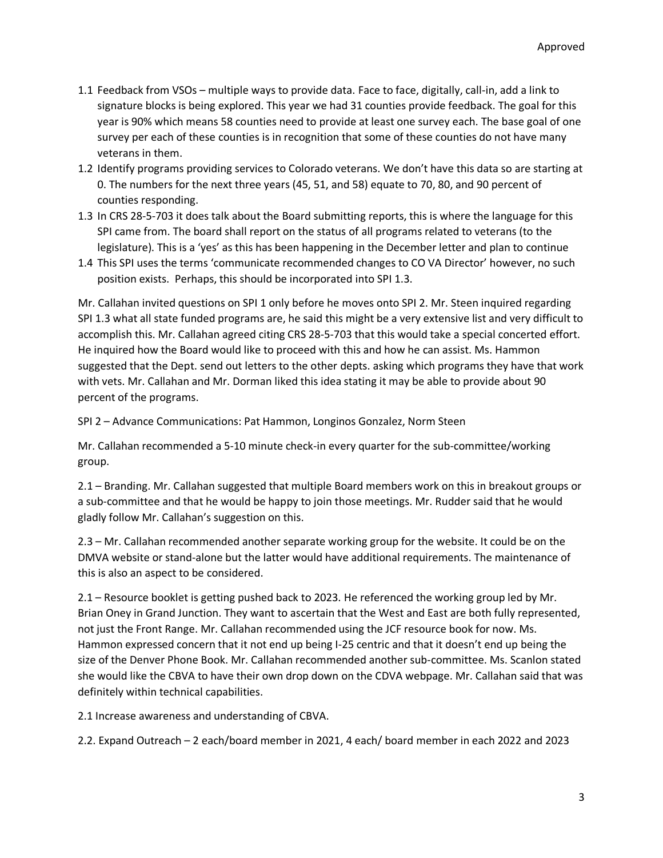- 1.1 Feedback from VSOs multiple ways to provide data. Face to face, digitally, call-in, add a link to signature blocks is being explored. This year we had 31 counties provide feedback. The goal for this year is 90% which means 58 counties need to provide at least one survey each. The base goal of one survey per each of these counties is in recognition that some of these counties do not have many veterans in them.
- 1.2 Identify programs providing services to Colorado veterans. We don't have this data so are starting at 0. The numbers for the next three years (45, 51, and 58) equate to 70, 80, and 90 percent of counties responding.
- 1.3 In CRS 28-5-703 it does talk about the Board submitting reports, this is where the language for this SPI came from. The board shall report on the status of all programs related to veterans (to the legislature). This is a 'yes' as this has been happening in the December letter and plan to continue
- 1.4 This SPI uses the terms 'communicate recommended changes to CO VA Director' however, no such position exists. Perhaps, this should be incorporated into SPI 1.3.

Mr. Callahan invited questions on SPI 1 only before he moves onto SPI 2. Mr. Steen inquired regarding SPI 1.3 what all state funded programs are, he said this might be a very extensive list and very difficult to accomplish this. Mr. Callahan agreed citing CRS 28-5-703 that this would take a special concerted effort. He inquired how the Board would like to proceed with this and how he can assist. Ms. Hammon suggested that the Dept. send out letters to the other depts. asking which programs they have that work with vets. Mr. Callahan and Mr. Dorman liked this idea stating it may be able to provide about 90 percent of the programs.

SPI 2 – Advance Communications: Pat Hammon, Longinos Gonzalez, Norm Steen

Mr. Callahan recommended a 5-10 minute check-in every quarter for the sub-committee/working group.

2.1 – Branding. Mr. Callahan suggested that multiple Board members work on this in breakout groups or a sub-committee and that he would be happy to join those meetings. Mr. Rudder said that he would gladly follow Mr. Callahan's suggestion on this.

2.3 – Mr. Callahan recommended another separate working group for the website. It could be on the DMVA website or stand-alone but the latter would have additional requirements. The maintenance of this is also an aspect to be considered.

2.1 – Resource booklet is getting pushed back to 2023. He referenced the working group led by Mr. Brian Oney in Grand Junction. They want to ascertain that the West and East are both fully represented, not just the Front Range. Mr. Callahan recommended using the JCF resource book for now. Ms. Hammon expressed concern that it not end up being I-25 centric and that it doesn't end up being the size of the Denver Phone Book. Mr. Callahan recommended another sub-committee. Ms. Scanlon stated she would like the CBVA to have their own drop down on the CDVA webpage. Mr. Callahan said that was definitely within technical capabilities.

2.1 Increase awareness and understanding of CBVA.

2.2. Expand Outreach – 2 each/board member in 2021, 4 each/ board member in each 2022 and 2023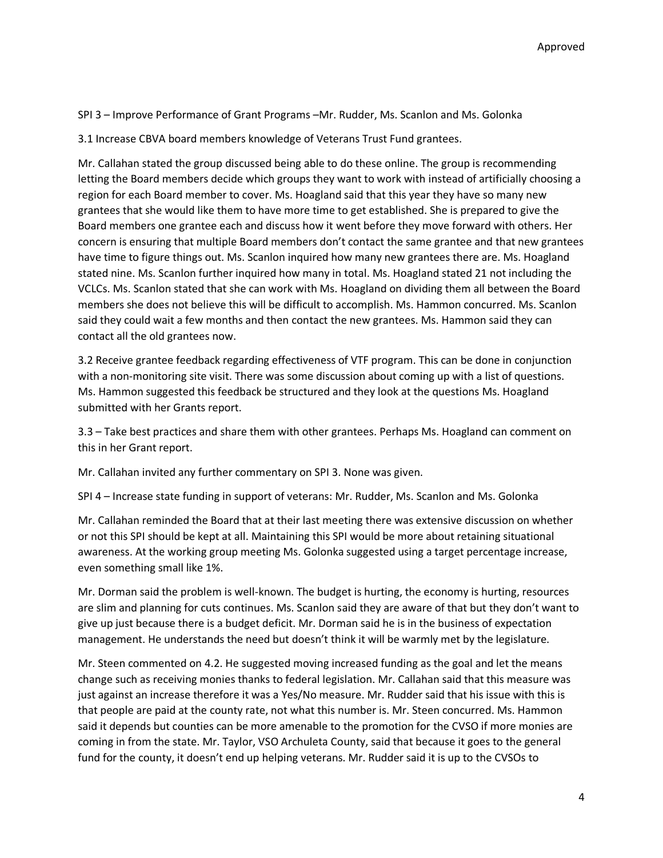SPI 3 – Improve Performance of Grant Programs –Mr. Rudder, Ms. Scanlon and Ms. Golonka

3.1 Increase CBVA board members knowledge of Veterans Trust Fund grantees.

Mr. Callahan stated the group discussed being able to do these online. The group is recommending letting the Board members decide which groups they want to work with instead of artificially choosing a region for each Board member to cover. Ms. Hoagland said that this year they have so many new grantees that she would like them to have more time to get established. She is prepared to give the Board members one grantee each and discuss how it went before they move forward with others. Her concern is ensuring that multiple Board members don't contact the same grantee and that new grantees have time to figure things out. Ms. Scanlon inquired how many new grantees there are. Ms. Hoagland stated nine. Ms. Scanlon further inquired how many in total. Ms. Hoagland stated 21 not including the VCLCs. Ms. Scanlon stated that she can work with Ms. Hoagland on dividing them all between the Board members she does not believe this will be difficult to accomplish. Ms. Hammon concurred. Ms. Scanlon said they could wait a few months and then contact the new grantees. Ms. Hammon said they can contact all the old grantees now.

3.2 Receive grantee feedback regarding effectiveness of VTF program. This can be done in conjunction with a non-monitoring site visit. There was some discussion about coming up with a list of questions. Ms. Hammon suggested this feedback be structured and they look at the questions Ms. Hoagland submitted with her Grants report.

3.3 – Take best practices and share them with other grantees. Perhaps Ms. Hoagland can comment on this in her Grant report.

Mr. Callahan invited any further commentary on SPI 3. None was given.

SPI 4 – Increase state funding in support of veterans: Mr. Rudder, Ms. Scanlon and Ms. Golonka

Mr. Callahan reminded the Board that at their last meeting there was extensive discussion on whether or not this SPI should be kept at all. Maintaining this SPI would be more about retaining situational awareness. At the working group meeting Ms. Golonka suggested using a target percentage increase, even something small like 1%.

Mr. Dorman said the problem is well-known. The budget is hurting, the economy is hurting, resources are slim and planning for cuts continues. Ms. Scanlon said they are aware of that but they don't want to give up just because there is a budget deficit. Mr. Dorman said he is in the business of expectation management. He understands the need but doesn't think it will be warmly met by the legislature.

Mr. Steen commented on 4.2. He suggested moving increased funding as the goal and let the means change such as receiving monies thanks to federal legislation. Mr. Callahan said that this measure was just against an increase therefore it was a Yes/No measure. Mr. Rudder said that his issue with this is that people are paid at the county rate, not what this number is. Mr. Steen concurred. Ms. Hammon said it depends but counties can be more amenable to the promotion for the CVSO if more monies are coming in from the state. Mr. Taylor, VSO Archuleta County, said that because it goes to the general fund for the county, it doesn't end up helping veterans. Mr. Rudder said it is up to the CVSOs to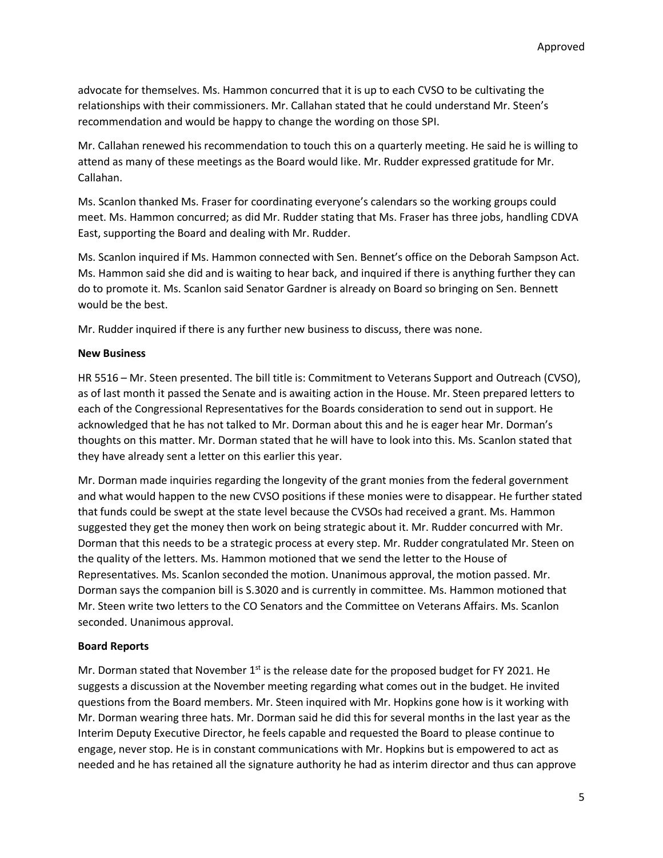advocate for themselves. Ms. Hammon concurred that it is up to each CVSO to be cultivating the relationships with their commissioners. Mr. Callahan stated that he could understand Mr. Steen's recommendation and would be happy to change the wording on those SPI.

Mr. Callahan renewed his recommendation to touch this on a quarterly meeting. He said he is willing to attend as many of these meetings as the Board would like. Mr. Rudder expressed gratitude for Mr. Callahan.

Ms. Scanlon thanked Ms. Fraser for coordinating everyone's calendars so the working groups could meet. Ms. Hammon concurred; as did Mr. Rudder stating that Ms. Fraser has three jobs, handling CDVA East, supporting the Board and dealing with Mr. Rudder.

Ms. Scanlon inquired if Ms. Hammon connected with Sen. Bennet's office on the Deborah Sampson Act. Ms. Hammon said she did and is waiting to hear back, and inquired if there is anything further they can do to promote it. Ms. Scanlon said Senator Gardner is already on Board so bringing on Sen. Bennett would be the best.

Mr. Rudder inquired if there is any further new business to discuss, there was none.

### **New Business**

HR 5516 – Mr. Steen presented. The bill title is: Commitment to Veterans Support and Outreach (CVSO), as of last month it passed the Senate and is awaiting action in the House. Mr. Steen prepared letters to each of the Congressional Representatives for the Boards consideration to send out in support. He acknowledged that he has not talked to Mr. Dorman about this and he is eager hear Mr. Dorman's thoughts on this matter. Mr. Dorman stated that he will have to look into this. Ms. Scanlon stated that they have already sent a letter on this earlier this year.

Mr. Dorman made inquiries regarding the longevity of the grant monies from the federal government and what would happen to the new CVSO positions if these monies were to disappear. He further stated that funds could be swept at the state level because the CVSOs had received a grant. Ms. Hammon suggested they get the money then work on being strategic about it. Mr. Rudder concurred with Mr. Dorman that this needs to be a strategic process at every step. Mr. Rudder congratulated Mr. Steen on the quality of the letters. Ms. Hammon motioned that we send the letter to the House of Representatives. Ms. Scanlon seconded the motion. Unanimous approval, the motion passed. Mr. Dorman says the companion bill is S.3020 and is currently in committee. Ms. Hammon motioned that Mr. Steen write two letters to the CO Senators and the Committee on Veterans Affairs. Ms. Scanlon seconded. Unanimous approval.

# **Board Reports**

Mr. Dorman stated that November  $1<sup>st</sup>$  is the release date for the proposed budget for FY 2021. He suggests a discussion at the November meeting regarding what comes out in the budget. He invited questions from the Board members. Mr. Steen inquired with Mr. Hopkins gone how is it working with Mr. Dorman wearing three hats. Mr. Dorman said he did this for several months in the last year as the Interim Deputy Executive Director, he feels capable and requested the Board to please continue to engage, never stop. He is in constant communications with Mr. Hopkins but is empowered to act as needed and he has retained all the signature authority he had as interim director and thus can approve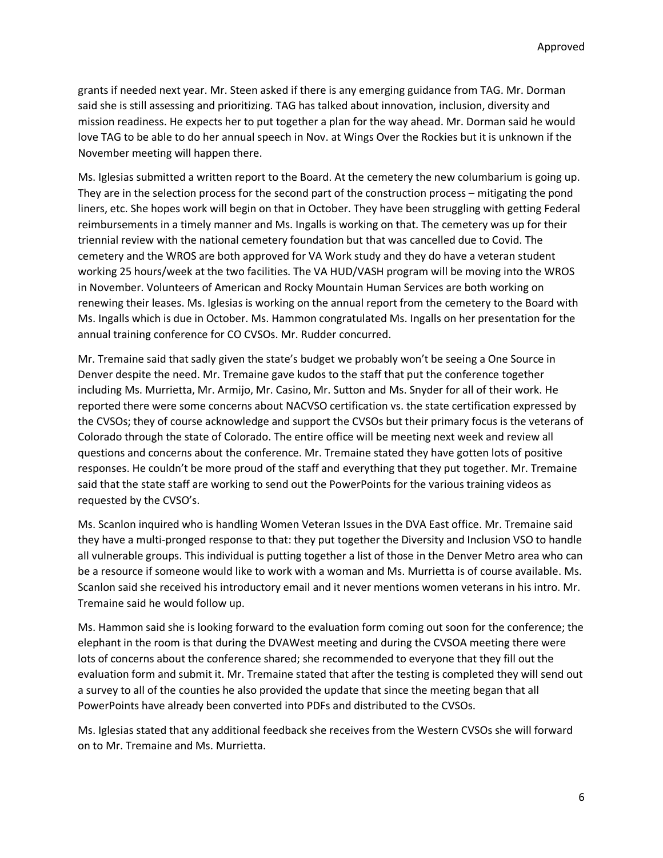grants if needed next year. Mr. Steen asked if there is any emerging guidance from TAG. Mr. Dorman said she is still assessing and prioritizing. TAG has talked about innovation, inclusion, diversity and mission readiness. He expects her to put together a plan for the way ahead. Mr. Dorman said he would love TAG to be able to do her annual speech in Nov. at Wings Over the Rockies but it is unknown if the November meeting will happen there.

Ms. Iglesias submitted a written report to the Board. At the cemetery the new columbarium is going up. They are in the selection process for the second part of the construction process – mitigating the pond liners, etc. She hopes work will begin on that in October. They have been struggling with getting Federal reimbursements in a timely manner and Ms. Ingalls is working on that. The cemetery was up for their triennial review with the national cemetery foundation but that was cancelled due to Covid. The cemetery and the WROS are both approved for VA Work study and they do have a veteran student working 25 hours/week at the two facilities. The VA HUD/VASH program will be moving into the WROS in November. Volunteers of American and Rocky Mountain Human Services are both working on renewing their leases. Ms. Iglesias is working on the annual report from the cemetery to the Board with Ms. Ingalls which is due in October. Ms. Hammon congratulated Ms. Ingalls on her presentation for the annual training conference for CO CVSOs. Mr. Rudder concurred.

Mr. Tremaine said that sadly given the state's budget we probably won't be seeing a One Source in Denver despite the need. Mr. Tremaine gave kudos to the staff that put the conference together including Ms. Murrietta, Mr. Armijo, Mr. Casino, Mr. Sutton and Ms. Snyder for all of their work. He reported there were some concerns about NACVSO certification vs. the state certification expressed by the CVSOs; they of course acknowledge and support the CVSOs but their primary focus is the veterans of Colorado through the state of Colorado. The entire office will be meeting next week and review all questions and concerns about the conference. Mr. Tremaine stated they have gotten lots of positive responses. He couldn't be more proud of the staff and everything that they put together. Mr. Tremaine said that the state staff are working to send out the PowerPoints for the various training videos as requested by the CVSO's.

Ms. Scanlon inquired who is handling Women Veteran Issues in the DVA East office. Mr. Tremaine said they have a multi-pronged response to that: they put together the Diversity and Inclusion VSO to handle all vulnerable groups. This individual is putting together a list of those in the Denver Metro area who can be a resource if someone would like to work with a woman and Ms. Murrietta is of course available. Ms. Scanlon said she received his introductory email and it never mentions women veterans in his intro. Mr. Tremaine said he would follow up.

Ms. Hammon said she is looking forward to the evaluation form coming out soon for the conference; the elephant in the room is that during the DVAWest meeting and during the CVSOA meeting there were lots of concerns about the conference shared; she recommended to everyone that they fill out the evaluation form and submit it. Mr. Tremaine stated that after the testing is completed they will send out a survey to all of the counties he also provided the update that since the meeting began that all PowerPoints have already been converted into PDFs and distributed to the CVSOs.

Ms. Iglesias stated that any additional feedback she receives from the Western CVSOs she will forward on to Mr. Tremaine and Ms. Murrietta.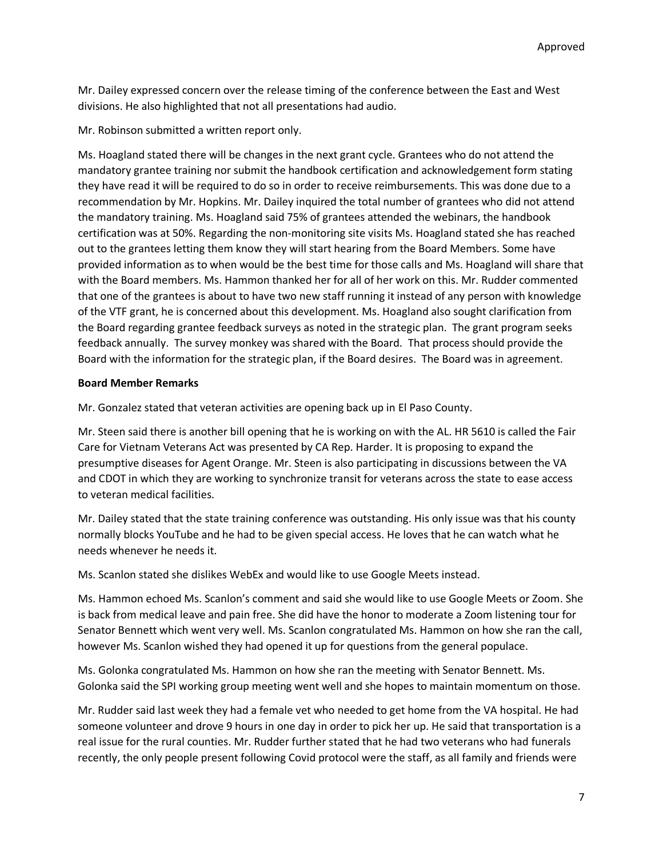Mr. Dailey expressed concern over the release timing of the conference between the East and West divisions. He also highlighted that not all presentations had audio.

Mr. Robinson submitted a written report only.

Ms. Hoagland stated there will be changes in the next grant cycle. Grantees who do not attend the mandatory grantee training nor submit the handbook certification and acknowledgement form stating they have read it will be required to do so in order to receive reimbursements. This was done due to a recommendation by Mr. Hopkins. Mr. Dailey inquired the total number of grantees who did not attend the mandatory training. Ms. Hoagland said 75% of grantees attended the webinars, the handbook certification was at 50%. Regarding the non-monitoring site visits Ms. Hoagland stated she has reached out to the grantees letting them know they will start hearing from the Board Members. Some have provided information as to when would be the best time for those calls and Ms. Hoagland will share that with the Board members. Ms. Hammon thanked her for all of her work on this. Mr. Rudder commented that one of the grantees is about to have two new staff running it instead of any person with knowledge of the VTF grant, he is concerned about this development. Ms. Hoagland also sought clarification from the Board regarding grantee feedback surveys as noted in the strategic plan. The grant program seeks feedback annually. The survey monkey was shared with the Board. That process should provide the Board with the information for the strategic plan, if the Board desires. The Board was in agreement.

### **Board Member Remarks**

Mr. Gonzalez stated that veteran activities are opening back up in El Paso County.

Mr. Steen said there is another bill opening that he is working on with the AL. HR 5610 is called the Fair Care for Vietnam Veterans Act was presented by CA Rep. Harder. It is proposing to expand the presumptive diseases for Agent Orange. Mr. Steen is also participating in discussions between the VA and CDOT in which they are working to synchronize transit for veterans across the state to ease access to veteran medical facilities.

Mr. Dailey stated that the state training conference was outstanding. His only issue was that his county normally blocks YouTube and he had to be given special access. He loves that he can watch what he needs whenever he needs it.

Ms. Scanlon stated she dislikes WebEx and would like to use Google Meets instead.

Ms. Hammon echoed Ms. Scanlon's comment and said she would like to use Google Meets or Zoom. She is back from medical leave and pain free. She did have the honor to moderate a Zoom listening tour for Senator Bennett which went very well. Ms. Scanlon congratulated Ms. Hammon on how she ran the call, however Ms. Scanlon wished they had opened it up for questions from the general populace.

Ms. Golonka congratulated Ms. Hammon on how she ran the meeting with Senator Bennett. Ms. Golonka said the SPI working group meeting went well and she hopes to maintain momentum on those.

Mr. Rudder said last week they had a female vet who needed to get home from the VA hospital. He had someone volunteer and drove 9 hours in one day in order to pick her up. He said that transportation is a real issue for the rural counties. Mr. Rudder further stated that he had two veterans who had funerals recently, the only people present following Covid protocol were the staff, as all family and friends were